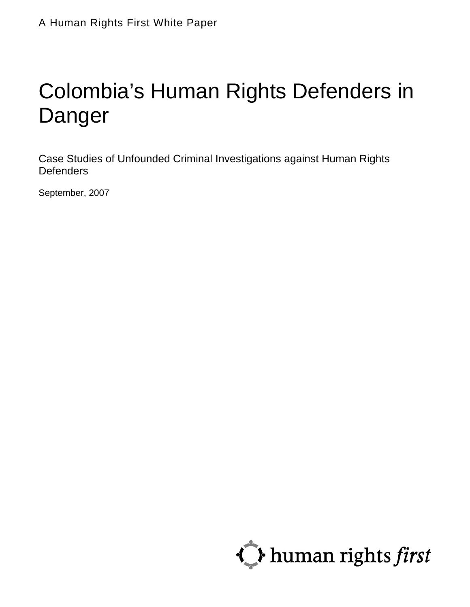# Colombia's Human Rights Defenders in Danger

Case Studies of Unfounded Criminal Investigations against Human Rights **Defenders** 

September, 2007

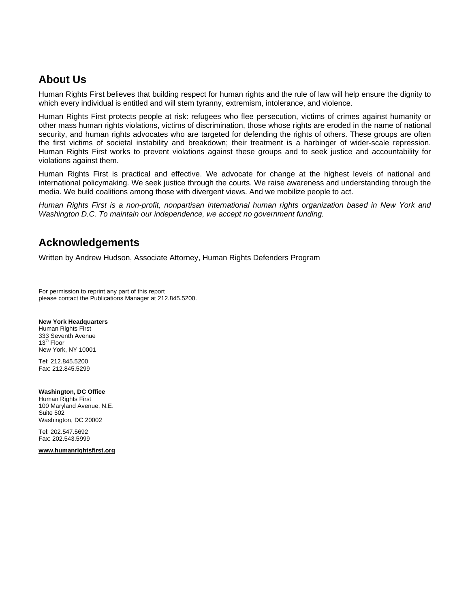# **About Us**

Human Rights First believes that building respect for human rights and the rule of law will help ensure the dignity to which every individual is entitled and will stem tyranny, extremism, intolerance, and violence.

Human Rights First protects people at risk: refugees who flee persecution, victims of crimes against humanity or other mass human rights violations, victims of discrimination, those whose rights are eroded in the name of national security, and human rights advocates who are targeted for defending the rights of others. These groups are often the first victims of societal instability and breakdown; their treatment is a harbinger of wider-scale repression. Human Rights First works to prevent violations against these groups and to seek justice and accountability for violations against them.

Human Rights First is practical and effective. We advocate for change at the highest levels of national and international policymaking. We seek justice through the courts. We raise awareness and understanding through the media. We build coalitions among those with divergent views. And we mobilize people to act.

*Human Rights First is a non-profit, nonpartisan international human rights organization based in New York and Washington D.C. To maintain our independence, we accept no government funding.* 

## **Acknowledgements**

Written by Andrew Hudson, Associate Attorney, Human Rights Defenders Program

For permission to reprint any part of this report please contact the Publications Manager at 212.845.5200.

#### **New York Headquarters**

Human Rights First 333 Seventh Avenue 13<sup>th</sup> Floor New York, NY 10001

Tel: 212.845.5200 Fax: 212.845.5299

#### **Washington, DC Office**

Human Rights First 100 Maryland Avenue, N.E. Suite 502 Washington, DC 20002

Tel: 202.547.5692 Fax: 202.543.5999

**[www.humanrightsfirst.org](http://www.humanrightsfirst.org/)**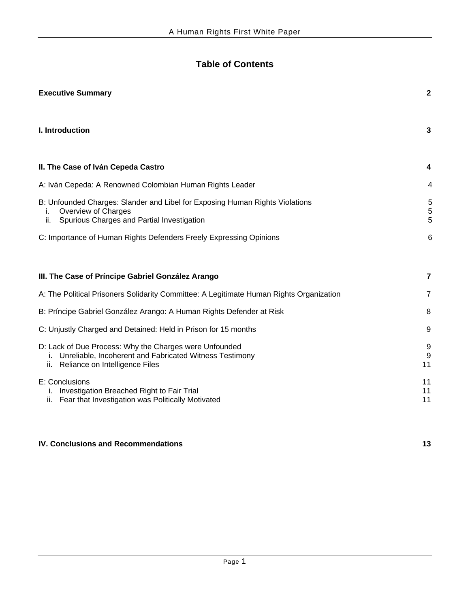# **Table of Contents**

| <b>Executive Summary</b>                                                                                                                                         | $\mathbf{2}$   |
|------------------------------------------------------------------------------------------------------------------------------------------------------------------|----------------|
| I. Introduction                                                                                                                                                  | 3              |
| II. The Case of Iván Cepeda Castro                                                                                                                               | 4              |
| A: Iván Cepeda: A Renowned Colombian Human Rights Leader                                                                                                         | 4              |
| B: Unfounded Charges: Slander and Libel for Exposing Human Rights Violations<br>Overview of Charges<br>Ť.<br>ii.<br>Spurious Charges and Partial Investigation   | 5<br>5<br>5    |
| C: Importance of Human Rights Defenders Freely Expressing Opinions                                                                                               | 6              |
| III. The Case of Príncipe Gabriel González Arango                                                                                                                | 7              |
| A: The Political Prisoners Solidarity Committee: A Legitimate Human Rights Organization                                                                          | 7              |
| B: Príncipe Gabriel González Arango: A Human Rights Defender at Risk                                                                                             | 8              |
| C: Unjustly Charged and Detained: Held in Prison for 15 months                                                                                                   | 9              |
| D: Lack of Due Process: Why the Charges were Unfounded<br>Unreliable, Incoherent and Fabricated Witness Testimony<br>i.<br>Reliance on Intelligence Files<br>ii. | 9<br>9<br>11   |
| E: Conclusions<br>Investigation Breached Right to Fair Trial<br>i.<br>ii. Fear that Investigation was Politically Motivated                                      | 11<br>11<br>11 |
| <b>IV. Conclusions and Recommendations</b>                                                                                                                       | 13             |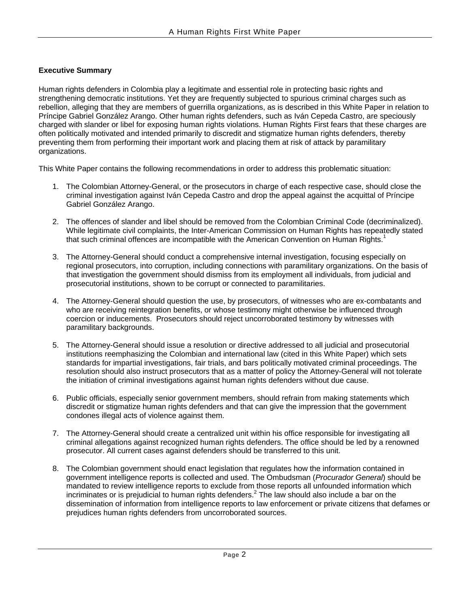#### **Executive Summary**

Human rights defenders in Colombia play a legitimate and essential role in protecting basic rights and strengthening democratic institutions. Yet they are frequently subjected to spurious criminal charges such as rebellion, alleging that they are members of guerrilla organizations, as is described in this White Paper in relation to Príncipe Gabriel González Arango. Other human rights defenders, such as Iván Cepeda Castro, are speciously charged with slander or libel for exposing human rights violations. Human Rights First fears that these charges are often politically motivated and intended primarily to discredit and stigmatize human rights defenders, thereby preventing them from performing their important work and placing them at risk of attack by paramilitary organizations.

This White Paper contains the following recommendations in order to address this problematic situation:

- 1. The Colombian Attorney-General, or the prosecutors in charge of each respective case, should close the criminal investigation against Iván Cepeda Castro and drop the appeal against the acquittal of Príncipe Gabriel González Arango.
- 2. The offences of slander and libel should be removed from the Colombian Criminal Code (decriminalized). While legitimate civil complaints, the Inter-American Commission on Human Rights has repeatedly stated thatsuch criminal offences are incompatible with the American Convention on Human Rights.<sup>1</sup>
- 3. The Attorney-General should conduct a comprehensive internal investigation, focusing especially on regional prosecutors, into corruption, including connections with paramilitary organizations. On the basis of that investigation the government should dismiss from its employment all individuals, from judicial and prosecutorial institutions, shown to be corrupt or connected to paramilitaries.
- 4. The Attorney-General should question the use, by prosecutors, of witnesses who are ex-combatants and who are receiving reintegration benefits, or whose testimony might otherwise be influenced through coercion or inducements. Prosecutors should reject uncorroborated testimony by witnesses with paramilitary backgrounds.
- 5. The Attorney-General should issue a resolution or directive addressed to all judicial and prosecutorial institutions reemphasizing the Colombian and international law (cited in this White Paper) which sets standards for impartial investigations, fair trials, and bars politically motivated criminal proceedings. The resolution should also instruct prosecutors that as a matter of policy the Attorney-General will not tolerate the initiation of criminal investigations against human rights defenders without due cause.
- 6. Public officials, especially senior government members, should refrain from making statements which discredit or stigmatize human rights defenders and that can give the impression that the government condones illegal acts of violence against them.
- 7. The Attorney-General should create a centralized unit within his office responsible for investigating all criminal allegations against recognized human rights defenders. The office should be led by a renowned prosecutor. All current cases against defenders should be transferred to this unit.
- 8. The Colombian government should enact legislation that regulates how the information contained in government intelligence reports is collected and used. The Ombudsman (*Procurador General*) should be mandated to review intelligence reports to exclude from those reports all unfounded information which incriminates or is prejudicial to human rights defenders.<sup>[2](#page-19-1)</sup> The law should also include a bar on the dissemination of information from intelligence reports to law enforcement or private citizens that defames or prejudices human rights defenders from uncorroborated sources.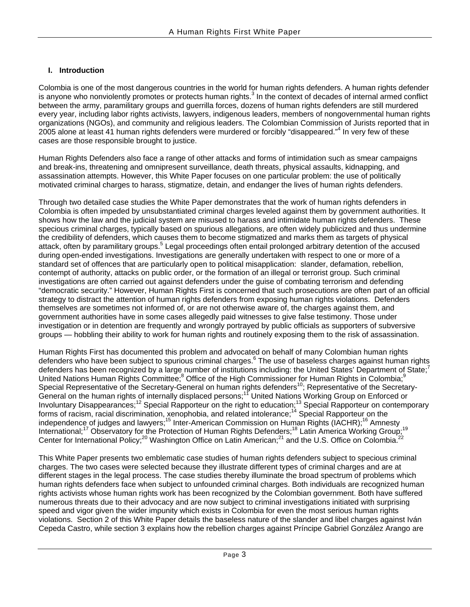#### **I. Introduction**

Colombia is one of the most dangerous countries in the world for human rights defenders. A human rights defender isanyone who nonviolently promotes or protects human rights.<sup>3</sup> In the context of decades of internal armed conflict between the army, paramilitary groups and guerrilla forces, dozens of human rights defenders are still murdered every year, including labor rights activists, lawyers, indigenous leaders, members of nongovernmental human rights organizations (NGOs), and community and religious leaders. The Colombian Commission of Jurists reported that in 2005 alone at least 41 human rights defenders were murdered or forcibly "disappeared."<sup>4</sup> In very few of these cases are those responsible brought to justice.

Human Rights Defenders also face a range of other attacks and forms of intimidation such as smear campaigns and break-ins, threatening and omnipresent surveillance, death threats, physical assaults, kidnapping, and assassination attempts. However, this White Paper focuses on one particular problem: the use of politically motivated criminal charges to harass, stigmatize, detain, and endanger the lives of human rights defenders.

Through two detailed case studies the White Paper demonstrates that the work of human rights defenders in Colombia is often impeded by unsubstantiated criminal charges leveled against them by government authorities. It shows how the law and the judicial system are misused to harass and intimidate human rights defenders. These specious criminal charges, typically based on spurious allegations, are often widely publicized and thus undermine the credibility of defenders, which causes them to become stigmatized and marks them as targets of physical attack,often by paramilitary groups.<sup>5</sup> Legal proceedings often entail prolonged arbitrary detention of the accused during open-ended investigations. Investigations are generally undertaken with respect to one or more of a standard set of offences that are particularly open to political misapplication: slander, defamation, rebellion, contempt of authority, attacks on public order, or the formation of an illegal or terrorist group. Such criminal investigations are often carried out against defenders under the guise of combating terrorism and defending "democratic security." However, Human Rights First is concerned that such prosecutions are often part of an official strategy to distract the attention of human rights defenders from exposing human rights violations. Defenders themselves are sometimes not informed of, or are not otherwise aware of, the charges against them, and government authorities have in some cases allegedly paid witnesses to give false testimony. Those under investigation or in detention are frequently and wrongly portrayed by public officials as supporters of subversive groups — hobbling their ability to work for human rights and routinely exposing them to the risk of assassination.

Human Rights First has documented this problem and advocated on behalf of many Colombian human rights defenders who have been subject to spurious criminal charges.<sup>6</sup> The use of baseless charges against human rights defenders has been recognized by a large number of institutions including: the United States' Department of State;<sup>[7](#page-19-6)</sup> United Nations Human Rights Committee;<sup>8</sup> Office of the High Commissioner for Human Rights in Colombia;<sup>[9](#page-19-8)</sup> Special Representative of the Secretary-General on human rights defenders<sup>10</sup>; Representative of the Secretary-General on the human rights of internally displaced persons;<sup>11</sup> United Nations Working Group on Enforced or Involuntary Disappearances;<sup>12</sup> Special Rapporteur on the right to education;<sup>13</sup> Special Rapporteur on contemporary forms of racism, racial discrimination, xenophobia, and related intolerance;<sup>14</sup> Special Rapporteur on the independence of judges and lawyers;<sup>15</sup> Inter-American Commission on Human Rights (IACHR);<sup>16</sup> Amnesty International;<sup>17</sup> Observatory for the Protection of Human Rights Defenders;<sup>18</sup> Latin America Working Group;<sup>19</sup> Center for International Policy;<sup>20</sup> Washington Office on Latin American;<sup>21</sup> and the U.S. Office on Colombia.<sup>[22](#page-19-21)</sup>

This White Paper presents two emblematic case studies of human rights defenders subject to specious criminal charges. The two cases were selected because they illustrate different types of criminal charges and are at different stages in the legal process. The case studies thereby illuminate the broad spectrum of problems which human rights defenders face when subject to unfounded criminal charges. Both individuals are recognized human rights activists whose human rights work has been recognized by the Colombian government. Both have suffered numerous threats due to their advocacy and are now subject to criminal investigations initiated with surprising speed and vigor given the wider impunity which exists in Colombia for even the most serious human rights violations. Section 2 of this White Paper details the baseless nature of the slander and libel charges against Iván Cepeda Castro, while section 3 explains how the rebellion charges against Príncipe Gabriel González Arango are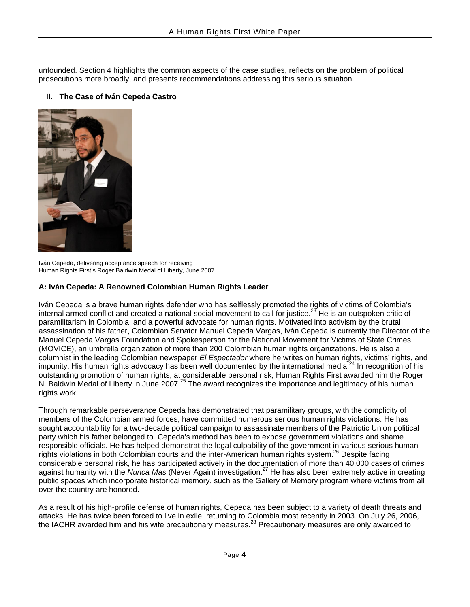unfounded. Section 4 highlights the common aspects of the case studies, reflects on the problem of political prosecutions more broadly, and presents recommendations addressing this serious situation.

#### **II. The Case of Iván Cepeda Castro**



Iván Cepeda, delivering acceptance speech for receiving Human Rights First's Roger Baldwin Medal of Liberty, June 2007

#### **A: Iván Cepeda: A Renowned Colombian Human Rights Leader**

Iván Cepeda is a brave human rights defender who has selflessly promoted the rights of victims of Colombia's internal armed conflict and created a national social movement to call for justice.<sup>23</sup> He is an outspoken critic of paramilitarism in Colombia, and a powerful advocate for human rights. Motivated into activism by the brutal assassination of his father, Colombian Senator Manuel Cepeda Vargas, Iván Cepeda is currently the Director of the Manuel Cepeda Vargas Foundation and Spokesperson for the National Movement for Victims of State Crimes (MOVICE), an umbrella organization of more than 200 Colombian human rights organizations. He is also a columnist in the leading Colombian newspaper *El Espectador* where he writes on human rights, victims' rights, and impunity. His human rights advocacy has been well documented by the international media.<sup>[24](#page-19-23)</sup> In recognition of his outstanding promotion of human rights, at considerable personal risk, Human Rights First awarded him the Roger N. Baldwin Medal of Liberty in June 2007.<sup>25</sup> The award recognizes the importance and legitimacy of his human rights work.

Through remarkable perseverance Cepeda has demonstrated that paramilitary groups, with the complicity of members of the Colombian armed forces, have committed numerous serious human rights violations. He has sought accountability for a two-decade political campaign to assassinate members of the Patriotic Union political party which his father belonged to. Cepeda's method has been to expose government violations and shame responsible officials. He has helped demonstrat the legal culpability of the government in various serious human rights violations in both Colombian courts and the inter-American human rights system.<sup>26</sup> Despite facing considerable personal risk, he has participated actively in the documentation of more than 40,000 cases of crimes against humanity with the *Nunca Mas* (Never Again) investigation.<sup>27</sup> He has also been extremely active in creating public spaces which incorporate historical memory, such as the Gallery of Memory program where victims from all over the country are honored.

As a result of his high-profile defense of human rights, Cepeda has been subject to a variety of death threats and attacks. He has twice been forced to live in exile, returning to Colombia most recently in 2003. On July 26, 2006, the IACHR awarded him and his wife precautionary measures.<sup>28</sup> Precautionary measures are only awarded to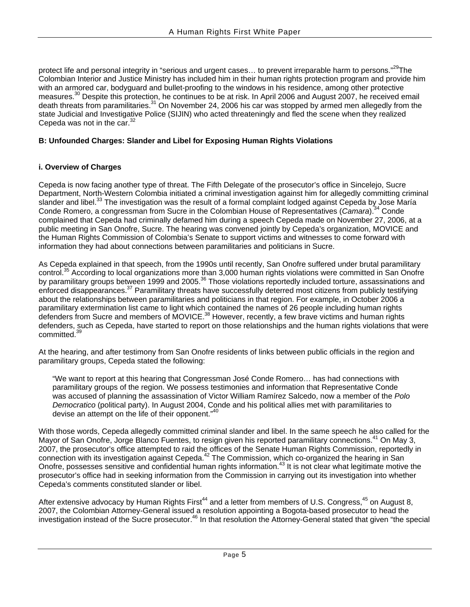protect life and personal integrity in "serious and urgent cases... to prevent irreparable harm to persons."<sup>29</sup>The Colombian Interior and Justice Ministry has included him in their human rights protection program and provide him with an armored car, bodyguard and bullet-proofing to the windows in his residence, among other protective measures.<sup>30</sup> Despite this protection, he continues to be at risk. In April 2006 and August 2007, he received email death threats from paramilitaries.<sup>31</sup> On November 24, 2006 his car was stopped by armed men allegedly from the state Judicial and Investigative Police (SIJIN) who acted threateningly and fled the scene when they realized Cepeda was not in the car.<sup>32</sup>

#### **B: Unfounded Charges: Slander and Libel for Exposing Human Rights Violations**

#### **i. Overview of Charges**

Cepeda is now facing another type of threat. The Fifth Delegate of the prosecutor's office in Sincelejo, Sucre Department, North-Western Colombia initiated a criminal investigation against him for allegedly committing criminal slander and libel.<sup>33</sup> The investigation was the result of a formal complaint lodged against Cepeda by Jose María Conde Romero, a congressman from Sucre in the Colombian House of Representatives (*Camara*).<sup>34</sup> Conde complained that Cepeda had criminally defamed him during a speech Cepeda made on November 27, 2006, at a public meeting in San Onofre, Sucre. The hearing was convened jointly by Cepeda's organization, MOVICE and the Human Rights Commission of Colombia's Senate to support victims and witnesses to come forward with information they had about connections between paramilitaries and politicians in Sucre.

As Cepeda explained in that speech, from the 1990s until recently, San Onofre suffered under brutal paramilitary control.<sup>35</sup> According to local organizations more than 3,000 human rights violations were committed in San Onofre by paramilitary groups between 1999 and 2005.<sup>36</sup> Those violations reportedly included torture, assassinations and enforced disappearances.<sup>37</sup> Paramilitary threats have successfully deterred most citizens from publicly testifying about the relationships between paramilitaries and politicians in that region. For example, in October 2006 a paramilitary extermination list came to light which contained the names of 26 people including human rights defenders from Sucre and members of MOVICE.<sup>38</sup> However, recently, a few brave victims and human rights defenders, such as Cepeda, have started to report on those relationships and the human rights violations that were committed.[39](#page-19-37) 

At the hearing, and after testimony from San Onofre residents of links between public officials in the region and paramilitary groups, Cepeda stated the following:

"We want to report at this hearing that Congressman José Conde Romero… has had connections with paramilitary groups of the region. We possess testimonies and information that Representative Conde was accused of planning the assassination of Victor William Ramírez Salcedo, now a member of the *Polo Democratico* (political party). In August 2004, Conde and his political allies met with paramilitaries to devise an attempt on the life of their opponent."<sup>40</sup>

With those words, Cepeda allegedly committed criminal slander and libel. In the same speech he also called for the Mayor of San Onofre, Jorge Blanco Fuentes, to resign given his reported paramilitary connections.<sup>41</sup> On May 3, 2007, the prosecutor's office attempted to raid the offices of the Senate Human Rights Commission, reportedly in connection with its investigation against Cepeda.<sup>42</sup> The Commission, which co-organized the hearing in San Onofre, possesses sensitive and confidential human rights information.<sup>43</sup> It is not clear what legitimate motive the prosecutor's office had in seeking information from the Commission in carrying out its investigation into whether Cepeda's comments constituted slander or libel.

After extensive advocacy by Human Rights First<sup>44</sup> and a letter from members of U.S. Congress,<sup>45</sup> on August 8, 2007, the Colombian Attorney-General issued a resolution appointing a Bogota-based prosecutor to head the investigation instead of the Sucre prosecutor.[46](#page-19-40) In that resolution the Attorney-General stated that given "the special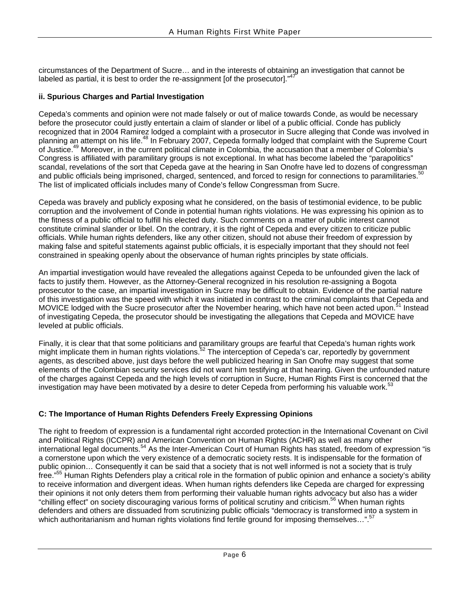circumstances of the Department of Sucre… and in the interests of obtaining an investigation that cannot be labeled as partial, it is best to order the re-assignment [of the prosecutor]."<sup>4</sup>

#### **ii. Spurious Charges and Partial Investigation**

Cepeda's comments and opinion were not made falsely or out of malice towards Conde, as would be necessary before the prosecutor could justly entertain a claim of slander or libel of a public official. Conde has publicly recognized that in 2004 Ramirez lodged a complaint with a prosecutor in Sucre alleging that Conde was involved in planning an attempt on his life.<sup>48</sup> In February 2007, Cepeda formally lodged that complaint with the Supreme Court of Justice.[49](#page-19-42) Moreover, in the current political climate in Colombia, the accusation that a member of Colombia's Congress is affiliated with paramilitary groups is not exceptional. In what has become labeled the "parapolitics" scandal, revelations of the sort that Cepeda gave at the hearing in San Onofre have led to dozens of congressman and public officials being imprisoned, charged, sentenced, and forced to resign for connections to paramilitaries.<sup>50</sup> The list of implicated officials includes many of Conde's fellow Congressman from Sucre.

Cepeda was bravely and publicly exposing what he considered, on the basis of testimonial evidence, to be public corruption and the involvement of Conde in potential human rights violations. He was expressing his opinion as to the fitness of a public official to fulfill his elected duty. Such comments on a matter of public interest cannot constitute criminal slander or libel. On the contrary, it is the right of Cepeda and every citizen to criticize public officials. While human rights defenders, like any other citizen, should not abuse their freedom of expression by making false and spiteful statements against public officials, it is especially important that they should not feel constrained in speaking openly about the observance of human rights principles by state officials.

An impartial investigation would have revealed the allegations against Cepeda to be unfounded given the lack of facts to justify them. However, as the Attorney-General recognized in his resolution re-assigning a Bogota prosecutor to the case, an impartial investigation in Sucre may be difficult to obtain. Evidence of the partial nature of this investigation was the speed with which it was initiated in contrast to the criminal complaints that Cepeda and MOVICE lodged with the Sucre prosecutor after the November hearing, which have not been acted upon.<sup>51</sup> Instead of investigating Cepeda, the prosecutor should be investigating the allegations that Cepeda and MOVICE have leveled at public officials.

Finally, it is clear that that some politicians and paramilitary groups are fearful that Cepeda's human rights work might implicate them in human rights violations.<sup>52</sup> The interception of Cepeda's car, reportedly by government agents, as described above, just days before the well publicized hearing in San Onofre may suggest that some elements of the Colombian security services did not want him testifying at that hearing. Given the unfounded nature of the charges against Cepeda and the high levels of corruption in Sucre, Human Rights First is concerned that the investigation may have been motivated by a desire to deter Cepeda from performing his valuable work.<sup>53</sup>

#### **C: The Importance of Human Rights Defenders Freely Expressing Opinions**

The right to freedom of expression is a fundamental right accorded protection in the International Covenant on Civil and Political Rights (ICCPR) and American Convention on Human Rights (ACHR) as well as many other international legal documents.<sup>54</sup> As the Inter-American Court of Human Rights has stated, freedom of expression "is a cornerstone upon which the very existence of a democratic society rests. It is indispensable for the formation of public opinion… Consequently it can be said that a society that is not well informed is not a society that is truly free."<sup>55</sup> Human Rights Defenders play a critical role in the formation of public opinion and enhance a society's ability to receive information and divergent ideas. When human rights defenders like Cepeda are charged for expressing their opinions it not only deters them from performing their valuable human rights advocacy but also has a wider "chilling effect" on society discouraging various forms of political scrutiny and criticism.[56](#page-19-48) When human rights defenders and others are dissuaded from scrutinizing public officials "democracy is transformed into a system in which authoritarianism and human rights violations find fertile ground for imposing themselves...".<sup>[57](#page-19-49)</sup>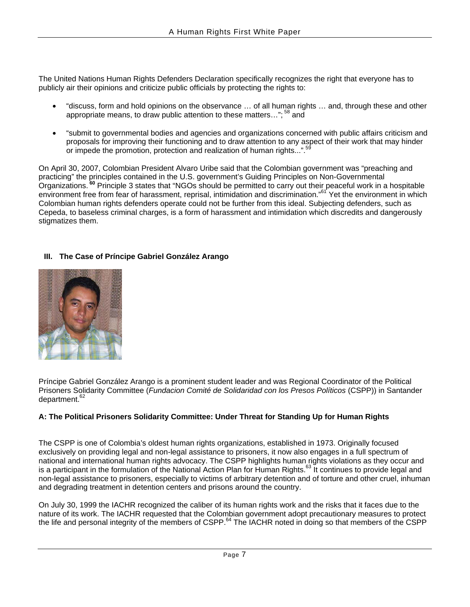The United Nations Human Rights Defenders Declaration specifically recognizes the right that everyone has to publicly air their opinions and criticize public officials by protecting the rights to:

- "discuss, form and hold opinions on the observance … of all human rights … and, through these and other appropriate means, to draw public attention to these matters...";<sup>58</sup> and
- "submit to governmental bodies and agencies and organizations concerned with public affairs criticism and proposals for improving their functioning and to draw attention to any aspect of their work that may hinder or impede the promotion, protection and realization of human rights...".<sup>[59](#page-19-20)</sup>

On April 30, 2007, Colombian President Alvaro Uribe said that the Colombian government was "preaching and practicing" the principles contained in the U.S. government's Guiding Principles on Non-Governmental Organizations. **[60](#page-19-50)** Principle 3 states that "NGOs should be permitted to carry out their peaceful work in a hospitable environment free from fear of harassment, reprisal, intimidation and discrimination."<sup>61</sup> Yet the environment in which Colombian human rights defenders operate could not be further from this ideal. Subjecting defenders, such as Cepeda, to baseless criminal charges, is a form of harassment and intimidation which discredits and dangerously stigmatizes them.

#### **III. The Case of Príncipe Gabriel González Arango**



Príncipe Gabriel González Arango is a prominent student leader and was Regional Coordinator of the Political Prisoners Solidarity Committee (*Fundacion Comité de Solidaridad con los Presos Políticos* (CSPP)) in Santander department.<sup>62</sup>

#### **A: The Political Prisoners Solidarity Committee: Under Threat for Standing Up for Human Rights**

The CSPP is one of Colombia's oldest human rights organizations, established in 1973. Originally focused exclusively on providing legal and non-legal assistance to prisoners, it now also engages in a full spectrum of national and international human rights advocacy. The CSPP highlights human rights violations as they occur and is a participant in the formulation of the National Action Plan for Human Rights.<sup>63</sup> It continues to provide legal and non-legal assistance to prisoners, especially to victims of arbitrary detention and of torture and other cruel, inhuman and degrading treatment in detention centers and prisons around the country.

On July 30, 1999 the IACHR recognized the caliber of its human rights work and the risks that it faces due to the nature of its work. The IACHR requested that the Colombian government adopt precautionary measures to protect the life and personal integrity of the members of CSPP.<sup>64</sup> The IACHR noted in doing so that members of the CSPP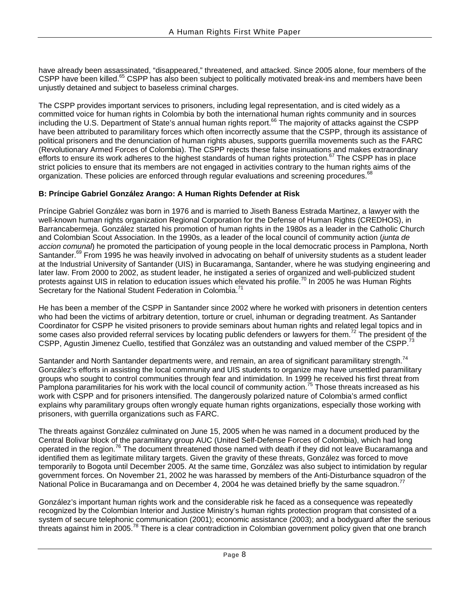have already been assassinated, "disappeared," threatened, and attacked. Since 2005 alone, four members of the CSPP have been killed.<sup>65</sup> CSPP has also been subject to politically motivated break-ins and members have been unjustly detained and subject to baseless criminal charges.

The CSPP provides important services to prisoners, including legal representation, and is cited widely as a committed voice for human rights in Colombia by both the international human rights community and in sources including the U.S. Department of State's annual human rights report.<sup>66</sup> The majority of attacks against the CSPP have been attributed to paramilitary forces which often incorrectly assume that the CSPP, through its assistance of political prisoners and the denunciation of human rights abuses, supports guerrilla movements such as the FARC (Revolutionary Armed Forces of Colombia). The CSPP rejects these false insinuations and makes extraordinary efforts to ensure its work adheres to the highest standards of human rights protection.<sup>67</sup> The CSPP has in place strict policies to ensure that its members are not engaged in activities contrary to the human rights aims of the organization. These policies are enforced through regular evaluations and screening procedures.<sup>68</sup>

#### **B: Príncipe Gabriel González Arango: A Human Rights Defender at Risk**

Príncipe Gabriel González was born in 1976 and is married to Jiseth Baness Estrada Martinez, a lawyer with the well-known human rights organization Regional Corporation for the Defense of Human Rights (CREDHOS), in Barrancabermeja. González started his promotion of human rights in the 1980s as a leader in the Catholic Church and Colombian Scout Association. In the 1990s, as a leader of the local council of community action (*junta de accion comunal*) he promoted the participation of young people in the local democratic process in Pamplona, North Santander.<sup>69</sup> From 1995 he was heavily involved in advocating on behalf of university students as a student leader at the Industrial University of Santander (UIS) in Bucaramanga, Santander, where he was studying engineering and later law. From 2000 to 2002, as student leader, he instigated a series of organized and well-publicized student protests against UIS in relation to education issues which elevated his profile.[70](#page-19-28) In 2005 he was Human Rights Secretary for the National Student Federation in Colombia.<sup>7</sup>

He has been a member of the CSPP in Santander since 2002 where he worked with prisoners in detention centers who had been the victims of arbitrary detention, torture or cruel, inhuman or degrading treatment. As Santander Coordinator for CSPP he visited prisoners to provide seminars about human rights and related legal topics and in some cases also provided referral services by locating public defenders or lawyers for them.<sup>72</sup> The president of the CSPP, Agustin Jimenez Cuello, testified that González was an outstanding and valued member of the CSPP.<sup>73</sup>

Santander and North Santander departments were, and remain, an area of significant paramilitary strength.<sup>[74](#page-19-56)</sup> González's efforts in assisting the local community and UIS students to organize may have unsettled paramilitary groups who sought to control communities through fear and intimidation. In 1999 he received his first threat from Pamplona paramilitaries for his work with the local council of community action.<sup>75</sup> Those threats increased as his work with CSPP and for prisoners intensified. The dangerously polarized nature of Colombia's armed conflict explains why paramilitary groups often wrongly equate human rights organizations, especially those working with prisoners, with guerrilla organizations such as FARC.

The threats against González culminated on June 15, 2005 when he was named in a document produced by the Central Bolivar block of the paramilitary group AUC (United Self-Defense Forces of Colombia), which had long operated in the region.[76](#page-19-58) The document threatened those named with death if they did not leave Bucaramanga and identified them as legitimate military targets. Given the gravity of these threats, González was forced to move temporarily to Bogota until December 2005. At the same time, González was also subject to intimidation by regular government forces. On November 21, 2002 he was harassed by members of the Anti-Disturbance squadron of the National Police in Bucaramanga and on December 4, 2004 he was detained briefly by the same squadron.<sup>77</sup>

González's important human rights work and the considerable risk he faced as a consequence was repeatedly recognized by the Colombian Interior and Justice Ministry's human rights protection program that consisted of a system of secure telephonic communication (2001); economic assistance (2003); and a bodyguard after the serious threats against him in 2005.<sup>78</sup> There is a clear contradiction in Colombian government policy given that one branch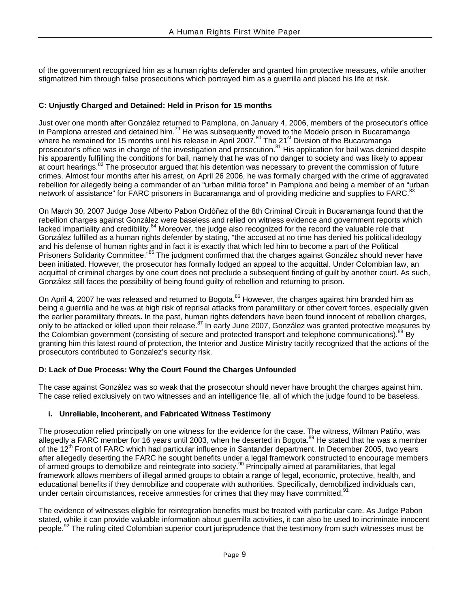of the government recognized him as a human rights defender and granted him protective measues, while another stigmatized him through false prosecutions which portrayed him as a guerrilla and placed his life at risk.

#### **C: Unjustly Charged and Detained: Held in Prison for 15 months**

Just over one month after González returned to Pamplona, on January 4, 2006, members of the prosecutor's office in Pamplona arrested and detained him.<sup>79</sup> He was subsequently moved to the Modelo prison in Bucaramanga where he remained for 15 months until his release in April 2007.<sup>80</sup> The 21<sup>st</sup> Division of the Bucaramanga prosecutor's office was in charge of the investigation and prosecution.[81](#page-19-10) His application for bail was denied despite his apparently fulfilling the conditions for bail, namely that he was of no danger to society and was likely to appear at court hearings.<sup>82</sup> The prosecutor argued that his detention was necessary to prevent the commission of future crimes. Almost four months after his arrest, on April 26 2006, he was formally charged with the crime of aggravated rebellion for allegedly being a commander of an "urban militia force" in Pamplona and being a member of an "urban network of assistance" for FARC prisoners in Bucaramanga and of providing medicine and supplies to FARC.<sup>[83](#page-19-11)</sup>

On March 30, 2007 Judge Jose Alberto Pabon Ordóñez of the 8th Criminal Circuit in Bucaramanga found that the rebellion charges against González were baseless and relied on witness evidence and government reports which lacked impartiality and credibility.<sup>84</sup> Moreover, the judge also recognized for the record the valuable role that González fulfilled as a human rights defender by stating, "the accused at no time has denied his political ideology and his defense of human rights and in fact it is exactly that which led him to become a part of the Political Prisoners Solidarity Committee."[85](#page-19-12) The judgment confirmed that the charges against González should never have been initiated. However, the prosecutor has formally lodged an appeal to the acquittal. Under Colombian law, an acquittal of criminal charges by one court does not preclude a subsequent finding of guilt by another court. As such, González still faces the possibility of being found guilty of rebellion and returning to prison.

On April 4, 2007 he was released and returned to Bogota.<sup>86</sup> However, the charges against him branded him as being a guerrilla and he was at high risk of reprisal attacks from paramilitary or other covert forces, especially given the earlier paramilitary threats**.** In the past, human rights defenders have been found innocent of rebellion charges, only to be attacked or killed upon their release.<sup>[87](#page-19-39)</sup> In early June 2007, González was granted protective measures by the Colombian government (consisting of secure and protected transport and telephone communications).<sup>88</sup> By granting him this latest round of protection, the Interior and Justice Ministry tacitly recognized that the actions of the prosecutors contributed to Gonzalez's security risk.

#### **D: Lack of Due Process: Why the Court Found the Charges Unfounded**

The case against González was so weak that the prosecotur should never have brought the charges against him. The case relied exclusively on two witnesses and an intelligence file, all of which the judge found to be baseless.

#### **i. Unreliable, Incoherent, and Fabricated Witness Testimony**

The prosecution relied principally on one witness for the evidence for the case. The witness, Wilman Patiño, was allegedly a FARC member for 16 years until 2003, when he deserted in Bogota.<sup>89</sup> He stated that he was a member of the 12<sup>th</sup> Front of FARC which had particular influence in Santander department. In December 2005, two years after allegedly deserting the FARC he sought benefits under a legal framework constructed to encourage members of armed groups to demobilize and reintegrate into society.<sup>90</sup> Principally aimed at paramilitaries, that legal framework allows members of illegal armed groups to obtain a range of legal, economic, protective, health, and educational benefits if they demobilize and cooperate with authorities. Specifically, demobilized individuals can, under certain circumstances, receive amnesties for crimes that they may have committed.<sup>91</sup>

The evidence of witnesses eligible for reintegration benefits must be treated with particular care. As Judge Pabon stated, while it can provide valuable information about guerrilla activities, it can also be used to incriminate innocent people.<sup>92</sup> The ruling cited Colombian superior court jurisprudence that the testimony from such witnesses must be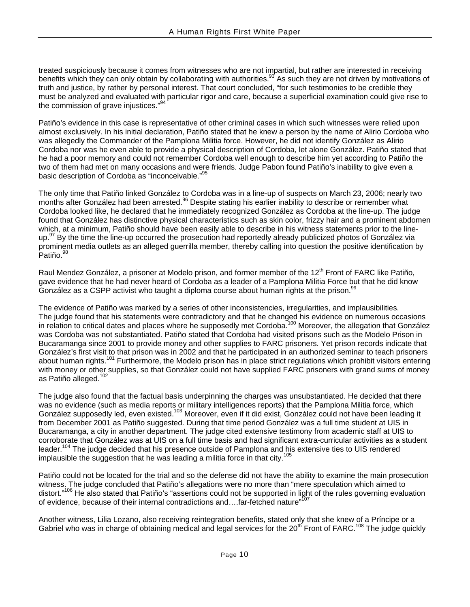treated suspiciously because it comes from witnesses who are not impartial, but rather are interested in receiving benefits which they can only obtain by collaborating with authorities.<sup>93</sup> As such they are not driven by motivations of truth and justice, by rather by personal interest. That court concluded, "for such testimonies to be credible they must be analyzed and evaluated with particular rigor and care, because a superficial examination could give rise to the commission of grave injustices."<sup>[94](#page-19-47)</sup>

Patiño's evidence in this case is representative of other criminal cases in which such witnesses were relied upon almost exclusively. In his initial declaration, Patiño stated that he knew a person by the name of Alirio Cordoba who was allegedly the Commander of the Pamplona Militia force. However, he did not identify González as Alirio Cordoba nor was he even able to provide a physical description of Cordoba, let alone González. Patiño stated that he had a poor memory and could not remember Cordoba well enough to describe him yet according to Patiño the two of them had met on many occasions and were friends. Judge Pabon found Patiño's inability to give even a basic description of Cordoba as "inconceivable."[95](#page-19-48)

The only time that Patiño linked González to Cordoba was in a line-up of suspects on March 23, 2006; nearly two months after González had been arrested.<sup>96</sup> Despite stating his earlier inability to describe or remember what Cordoba looked like, he declared that he immediately recognized González as Cordoba at the line-up. The judge found that González has distinctive physical characteristics such as skin color, frizzy hair and a prominent abdomen which, at a minimum, Patiño should have been easily able to describe in his witness statements prior to the lineup.<sup>97</sup> By the time the line-up occurred the prosecution had reportedly already publicized photos of González via prominent media outlets as an alleged guerrilla member, thereby calling into question the positive identification by Patiño. 98

Raul Mendez González, a prisoner at Modelo prison, and former member of the 12<sup>th</sup> Front of FARC like Patiño, gave evidence that he had never heard of Cordoba as a leader of a Pamplona Militia Force but that he did know González as a CSPP activist who taught a diploma course about human rights at the prison. $99$ 

The evidence of Patiño was marked by a series of other inconsistencies, irregularities, and implausibilities. The judge found that his statements were contradictory and that he changed his evidence on numerous occasions in relation to critical dates and places where he supposedly met Cordoba.<sup>100</sup> Moreover, the allegation that González was Cordoba was not substantiated. Patiño stated that Cordoba had visited prisons such as the Modelo Prison in Bucaramanga since 2001 to provide money and other supplies to FARC prisoners. Yet prison records indicate that González's first visit to that prison was in 2002 and that he participated in an authorized seminar to teach prisoners about human rights.[101](#page-19-65) Furthermore, the Modelo prison has in place strict regulations which prohibit visitors entering with money or other supplies, so that González could not have supplied FARC prisoners with grand sums of money as Patiño alleged.<sup>102</sup>

The judge also found that the factual basis underpinning the charges was unsubstantiated. He decided that there was no evidence (such as media reports or military intelligences reports) that the Pamplona Militia force, which González supposedly led, even existed.<sup>103</sup> Moreover, even if it did exist, González could not have been leading it from December 2001 as Patiño suggested. During that time period González was a full time student at UIS in Bucaramanga, a city in another department. The judge cited extensive testimony from academic staff at UIS to corroborate that González was at UIS on a full time basis and had significant extra-curricular activities as a student leader.<sup>104</sup> The judge decided that his presence outside of Pamplona and his extensive ties to UIS rendered implausible the suggestion that he was leading a militia force in that city.<sup>105</sup>

Patiño could not be located for the trial and so the defense did not have the ability to examine the main prosecution witness. The judge concluded that Patiño's allegations were no more than "mere speculation which aimed to distort."<sup>106</sup> He also stated that Patiño's "assertions could not be supported in light of the rules governing evaluation of evidence, because of their internal contradictions and....far-fetched nature"<sup>1</sup>

Another witness, Lilia Lozano, also receiving reintegration benefits, stated only that she knew of a Príncipe or a Gabriel who was in charge of obtaining medical and legal services for the 20<sup>th</sup> Front of FARC.<sup>108</sup> The judge quickly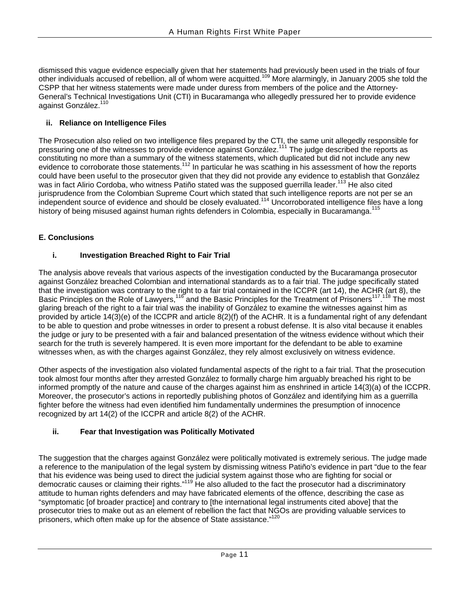dismissed this vague evidence especially given that her statements had previously been used in the trials of four other individuals accused of rebellion, all of whom were acquitted.[109](#page-19-73) More alarmingly, in January 2005 she told the CSPP that her witness statements were made under duress from members of the police and the Attorney-General's Technical Investigations Unit (CTI) in Bucaramanga who allegedly pressured her to provide evidence against González.<sup>110</sup>

#### **ii. Reliance on Intelligence Files**

The Prosecution also relied on two intelligence files prepared by the CTI, the same unit allegedly responsible for pressuring one of the witnesses to provide evidence against González.<sup>111</sup> The judge described the reports as constituting no more than a summary of the witness statements, which duplicated but did not include any new evidence to corroborate those statements.<sup>112</sup> In particular he was scathing in his assessment of how the reports could have been useful to the prosecutor given that they did not provide any evidence to establish that González was in fact Alirio Cordoba, who witness Patiño stated was the supposed guerrilla leader.<sup>113</sup> He also cited jurisprudence from the Colombian Supreme Court which stated that such intelligence reports are not per se an independent source of evidence and should be closely evaluated.<sup>114</sup> Uncorroborated intelligence files have a long history of being misused against human rights defenders in Colombia, especially in Bucaramanga.<sup>1</sup>

#### **E. Conclusions**

## **i. Investigation Breached Right to Fair Trial**

The analysis above reveals that various aspects of the investigation conducted by the Bucaramanga prosecutor against González breached Colombian and international standards as to a fair trial. The judge specifically stated that the investigation was contrary to the right to a fair trial contained in the ICCPR (art 14), the ACHR (art 8), the Basic Principles on the Role of Lawyers,<sup>116</sup> and the Basic Principles for the Treatment of Prisoners<sup>117,118</sup> The most glaring breach of the right to a fair trial was the inability of González to examine the witnesses against him as provided by article 14(3)(e) of the ICCPR and article 8(2)(f) of the ACHR. It is a fundamental right of any defendant to be able to question and probe witnesses in order to present a robust defense. It is also vital because it enables the judge or jury to be presented with a fair and balanced presentation of the witness evidence without which their search for the truth is severely hampered. It is even more important for the defendant to be able to examine witnesses when, as with the charges against González, they rely almost exclusively on witness evidence.

Other aspects of the investigation also violated fundamental aspects of the right to a fair trial. That the prosecution took almost four months after they arrested González to formally charge him arguably breached his right to be informed promptly of the nature and cause of the charges against him as enshrined in article 14(3)(a) of the ICCPR. Moreover, the prosecutor's actions in reportedly publishing photos of González and identifying him as a guerrilla fighter before the witness had even identified him fundamentally undermines the presumption of innocence recognized by art 14(2) of the ICCPR and article 8(2) of the ACHR.

## **ii. Fear that Investigation was Politically Motivated**

The suggestion that the charges against González were politically motivated is extremely serious. The judge made a reference to the manipulation of the legal system by dismissing witness Patiño's evidence in part "due to the fear that his evidence was being used to direct the judicial system against those who are fighting for social or democratic causes or claiming their rights."[119](#page-19-83) He also alluded to the fact the prosecutor had a discriminatory attitude to human rights defenders and may have fabricated elements of the offence, describing the case as "symptomatic [of broader practice] and contrary to [the international legal instruments cited above] that the prosecutor tries to make out as an element of rebellion the fact that NGOs are providing valuable services to prisoners, which often make up for the absence of State assistance."<sup>120</sup>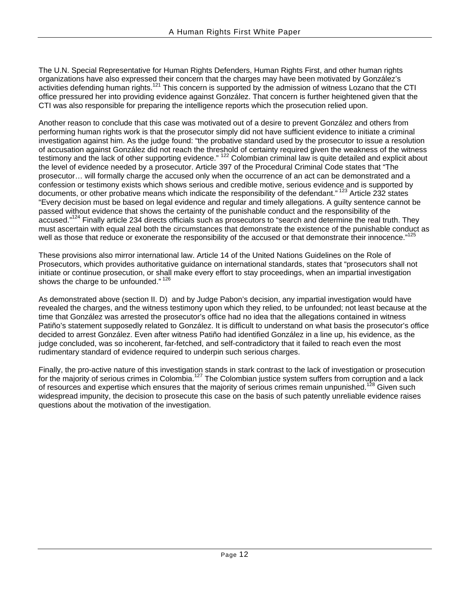The U.N. Special Representative for Human Rights Defenders, Human Rights First, and other human rights organizations have also expressed their concern that the charges may have been motivated by González's activities defending human rights.<sup>121</sup> This concern is supported by the admission of witness Lozano that the CTI office pressured her into providing evidence against González. That concern is further heightened given that the CTI was also responsible for preparing the intelligence reports which the prosecution relied upon.

Another reason to conclude that this case was motivated out of a desire to prevent González and others from performing human rights work is that the prosecutor simply did not have sufficient evidence to initiate a criminal investigation against him. As the judge found: "the probative standard used by the prosecutor to issue a resolution of accusation against González did not reach the threshold of certainty required given the weakness of the witness testimony and the lack of other supporting evidence." <sup>122</sup> Colombian criminal law is quite detailed and explicit about the level of evidence needed by a prosecutor. Article 397 of the Procedural Criminal Code states that "The prosecutor… will formally charge the accused only when the occurrence of an act can be demonstrated and a confession or testimony exists which shows serious and credible motive, serious evidence and is supported by documents, or other probative means which indicate the responsibility of the defendant." <sup>123</sup> Article 232 states "Every decision must be based on legal evidence and regular and timely allegations. A guilty sentence cannot be passed without evidence that shows the certainty of the punishable conduct and the responsibility of the accused."<sup>124</sup> Finally article 234 directs officials such as prosecutors to "search and determine the real truth. They must ascertain with equal zeal both the circumstances that demonstrate the existence of the punishable conduct as well as those that reduce or exonerate the responsibility of the accused or that demonstrate their innocence."<sup>12</sup>

These provisions also mirror international law. Article 14 of the United Nations Guidelines on the Role of Prosecutors, which provides authoritative guidance on international standards, states that "prosecutors shall not initiate or continue prosecution, or shall make every effort to stay proceedings, when an impartial investigation shows the charge to be unfounded."<sup>126</sup>

As demonstrated above (section II. D) and by Judge Pabon's decision, any impartial investigation would have revealed the charges, and the witness testimony upon which they relied, to be unfounded; not least because at the time that González was arrested the prosecutor's office had no idea that the allegations contained in witness Patiño's statement supposedly related to González. It is difficult to understand on what basis the prosecutor's office decided to arrest González. Even after witness Patiño had identified González in a line up, his evidence, as the judge concluded, was so incoherent, far-fetched, and self-contradictory that it failed to reach even the most rudimentary standard of evidence required to underpin such serious charges.

Finally, the pro-active nature of this investigation stands in stark contrast to the lack of investigation or prosecution for the majority of serious crimes in Colombia.<sup>127</sup> The Colombian justice system suffers from corruption and a lack of resources and expertise which ensures that the majority of serious crimes remain unpunished.<sup>128</sup> Given such widespread impunity, the decision to prosecute this case on the basis of such patently unreliable evidence raises questions about the motivation of the investigation.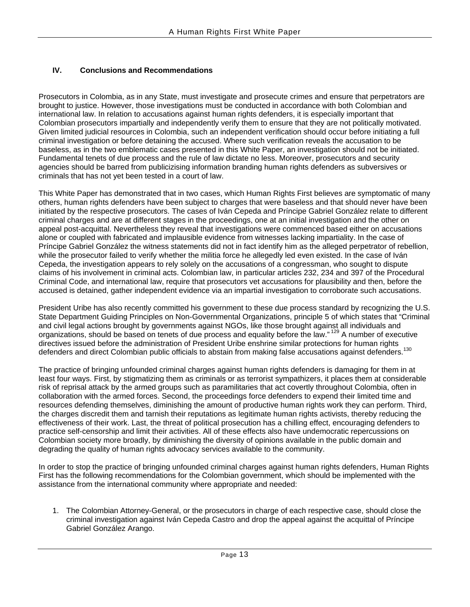#### **IV. Conclusions and Recommendations**

Prosecutors in Colombia, as in any State, must investigate and prosecute crimes and ensure that perpetrators are brought to justice. However, those investigations must be conducted in accordance with both Colombian and international law. In relation to accusations against human rights defenders, it is especially important that Colombian prosecutors impartially and independently verify them to ensure that they are not politically motivated. Given limited judicial resources in Colombia, such an independent verification should occur before initiating a full criminal investigation or before detaining the accused. Where such verification reveals the accusation to be baseless, as in the two emblematic cases presented in this White Paper, an investigation should not be initiated. Fundamental tenets of due process and the rule of law dictate no less. Moreover, prosecutors and security agencies should be barred from publicizising information branding human rights defenders as subversives or criminals that has not yet been tested in a court of law.

This White Paper has demonstrated that in two cases, which Human Rights First believes are symptomatic of many others, human rights defenders have been subject to charges that were baseless and that should never have been initiated by the respective prosecutors. The cases of Iván Cepeda and Príncipe Gabriel González relate to different criminal charges and are at different stages in the proceedings, one at an initial investigation and the other on appeal post-acquittal. Nevertheless they reveal that investigations were commenced based either on accusations alone or coupled with fabricated and implausible evidence from witnesses lacking impartiality. In the case of Príncipe Gabriel González the witness statements did not in fact identify him as the alleged perpetrator of rebellion, while the prosecutor failed to verify whether the militia force he allegedly led even existed. In the case of Iván Cepeda, the investigation appears to rely solely on the accusations of a congressman, who sought to dispute claims of his involvement in criminal acts. Colombian law, in particular articles 232, 234 and 397 of the Procedural Criminal Code, and international law, require that prosecutors vet accusations for plausibility and then, before the accused is detained, gather independent evidence via an impartial investigation to corroborate such accusations.

President Uribe has also recently committed his government to these due process standard by recognizing the U.S. State Department Guiding Principles on Non-Governmental Organizations, principle 5 of which states that "Criminal and civil legal actions brought by governments against NGOs, like those brought against all individuals and organizations, should be based on tenets of due process and equality before the law." [129](#page-19-93) A number of executive directives issued before the administration of President Uribe enshrine similar protections for human rights defenders and direct Colombian public officials to abstain from making false accusations against defenders.<sup>130</sup>

The practice of bringing unfounded criminal charges against human rights defenders is damaging for them in at least four ways. First, by stigmatizing them as criminals or as terrorist sympathizers, it places them at considerable risk of reprisal attack by the armed groups such as paramilitaries that act covertly throughout Colombia, often in collaboration with the armed forces. Second, the proceedings force defenders to expend their limited time and resources defending themselves, diminishing the amount of productive human rights work they can perform. Third, the charges discredit them and tarnish their reputations as legitimate human rights activists, thereby reducing the effectiveness of their work. Last, the threat of political prosecution has a chilling effect, encouraging defenders to practice self-censorship and limit their activities. All of these effects also have undemocratic repercussions on Colombian society more broadly, by diminishing the diversity of opinions available in the public domain and degrading the quality of human rights advocacy services available to the community.

In order to stop the practice of bringing unfounded criminal charges against human rights defenders, Human Rights First has the following recommendations for the Colombian government, which should be implemented with the assistance from the international community where appropriate and needed:

1. The Colombian Attorney-General, or the prosecutors in charge of each respective case, should close the criminal investigation against Iván Cepeda Castro and drop the appeal against the acquittal of Príncipe Gabriel González Arango.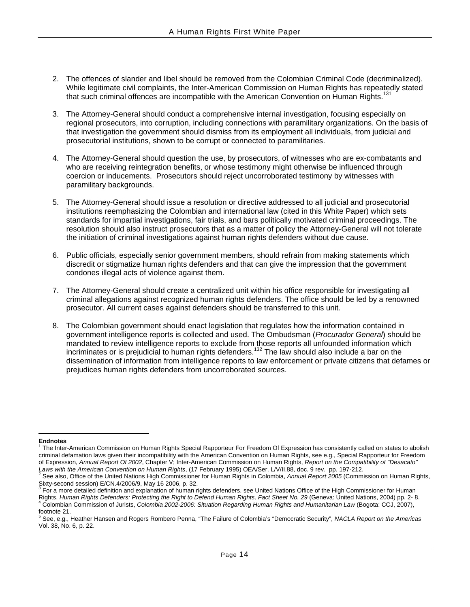- 2. The offences of slander and libel should be removed from the Colombian Criminal Code (decriminalized). While legitimate civil complaints, the Inter-American Commission on Human Rights has repeatedly stated that such criminal offences are incompatible with the American Convention on Human Rights.<sup>131</sup>
- 3. The Attorney-General should conduct a comprehensive internal investigation, focusing especially on regional prosecutors, into corruption, including connections with paramilitary organizations. On the basis of that investigation the government should dismiss from its employment all individuals, from judicial and prosecutorial institutions, shown to be corrupt or connected to paramilitaries.
- 4. The Attorney-General should question the use, by prosecutors, of witnesses who are ex-combatants and who are receiving reintegration benefits, or whose testimony might otherwise be influenced through coercion or inducements. Prosecutors should reject uncorroborated testimony by witnesses with paramilitary backgrounds.
- 5. The Attorney-General should issue a resolution or directive addressed to all judicial and prosecutorial institutions reemphasizing the Colombian and international law (cited in this White Paper) which sets standards for impartial investigations, fair trials, and bars politically motivated criminal proceedings. The resolution should also instruct prosecutors that as a matter of policy the Attorney-General will not tolerate the initiation of criminal investigations against human rights defenders without due cause.
- 6. Public officials, especially senior government members, should refrain from making statements which discredit or stigmatize human rights defenders and that can give the impression that the government condones illegal acts of violence against them.
- 7. The Attorney-General should create a centralized unit within his office responsible for investigating all criminal allegations against recognized human rights defenders. The office should be led by a renowned prosecutor. All current cases against defenders should be transferred to this unit.
- 8. The Colombian government should enact legislation that regulates how the information contained in government intelligence reports is collected and used. The Ombudsman (*Procurador General*) should be mandated to review intelligence reports to exclude from those reports all unfounded information which incriminates or is prejudicial to human rights defenders.<sup>132</sup> The law should also include a bar on the dissemination of information from intelligence reports to law enforcement or private citizens that defames or prejudices human rights defenders from uncorroborated sources.

 $\overline{a}$ **Endnotes** 

<sup>1</sup> The Inter-American Commission on Human Rights Special Rapporteur For Freedom Of Expression has consistently called on states to abolish criminal defamation laws given their incompatibility with the American Convention on Human Rights, see e.g., Special Rapporteur for Freedom of Expression, *Annual Report Of 2002*, Chapter V; Inter-American Commission on Human Rights, *Report on the Compatibility of "Desacato" Laws with the American Convention on Human Rights*, (17 February 1995) OEA/Ser. L/V/II.88, doc. 9 rev. pp. 197-212. 2

<sup>&</sup>lt;sup>2</sup> See also, Office of the United Nations High Commissioner for Human Rights in Colombia, Annual Report 2005 (Commission on Human Rights, Sixty-second session) E/CN.4/2006/9, May 16 2006, p. 32.

<sup>&</sup>lt;sup>3</sup> For a more detailed definition and explanation of human rights defenders, see United Nations Office of the High Commissioner for Human Rights, *Human Rights Defenders: Protecting the Right to Defend Human Rights, Fact Sheet No. 29* (Geneva: United Nations, 2004) pp. 2- 8. 4 Colombian Commission of Jurists, *Colombia 2002-2006: Situation Regarding Human Rights and Humanitarian Law* (Bogota: CCJ, 2007), footnote 21.

<sup>5</sup> See, e.g., Heather Hansen and Rogers Rombero Penna, "The Failure of Colombia's "Democratic Security", *NACLA Report on the Americas* Vol. 38, No. 6, p. 22.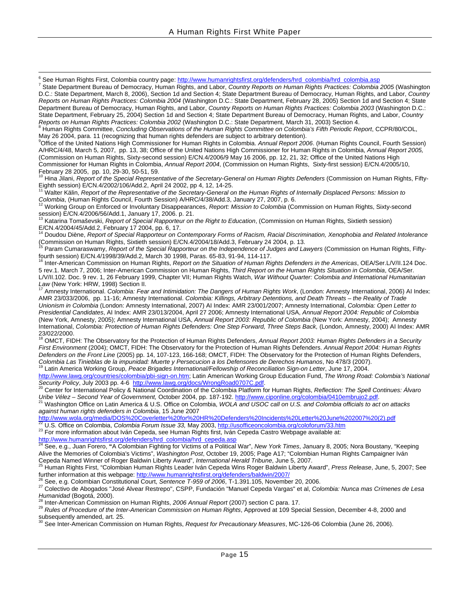-<br>6 See Human Rights First, Colombia country page: [http://www.humanrightsfirst.org/defenders/hrd\\_colombia/hrd\\_colombia.asp](http://www.humanrightsfirst.org/defenders/hrd_colombia/hrd_colombia.asp)

 State Department Bureau of Democracy, Human Rights, and Labor, *Country Reports on Human Rights Practices: Colombia 2005* (Washington D.C.: State Department, March 8, 2006), Section 1d and Section 4; State Department Bureau of Democracy, Human Rights, and Labor, *Country Reports on Human Rights Practices: Colombia 2004* (Washington D.C.: State Department, February 28, 2005) Section 1d and Section 4; State Department Bureau of Democracy, Human Rights, and Labor, *Country Reports on Human Rights Practices: Colombia 2003* (Washington D.C.: State Department, February 25, 2004) Section 1d and Section 4; State Department Bureau of Democracy, Human Rights, and Labor, *Country Reports on Human Rights Practices: Colombia 2002* (Washington D.C.: State Department, March 31, 2003) Section 4. 8

<sup>8</sup> Human Rights Committee, *Concluding Observations of the Human Rights Committee on Colombia's Fifth Periodic Report, CCPR/80/COL,* May 26 2004, para. 11 (recognizing that human rights defenders are subject to arbitrary detention). 9

Office of the United Nations High Commissioner for Human Rights in Colombia. *Annual Report 2006*. (Human Rights Council, Fourth Session) A/HRC/4/48, March 5, 2007, pp. 13, 38; Office of the United Nations High Commissioner for Human Rights in Colombia, *Annual Report 2005,* (Commission on Human Rights, Sixty-second session) E/CN.4/2006/9 May 16 2006, pp. 12, 21, 32; Office of the United Nations High Commissioner for Human Rights in Colombia, *Annual Report 2004*, (Commission on Human Rights, Sixty-first session) E/CN.4/2005/10, February 28 2005, pp. 10, 29-30, 50-51, 59.

<sup>10</sup> Hina Jilani, *Report of the Special Representative of the Secretary-General on Human Rights Defenders (Commission on Human Rights, Fifty-*Eighth session) E/CN.4/2002/106/Add.2, April 24 2002, pp 4, 12, 14-25.

<sup>11</sup> Walter Kälin, *Report of the Representative of the Secretary-General on the Human Rights of Internally Displaced Persons: Mission to* Colombia, (Human Rights Council, Fourth Session) A/HRC/4/38/Add.3, January 27, 2007, p. 6.<br><sup>12</sup> Working Group on Enforced or Involuntary Disappearances, Report: Mission to Colombia (Commission on Human Rights, Sixty-second

session) E/CN.4/2006/56/Add.1, January 17, 2006. p. 21.

13 Katarina Tomaševski, *Report of Special Rapporteur on the Right to Education*, (Commission on Human Rights, Sixtieth session)

E/CN.4/2004/45/Add.2, February 17 2004, pp. 6, 17.<br><sup>14</sup> Doudou Diène, *Report of Special Rapporteur on Contemporary Forms of Racism, Racial Discrimination, Xenophobia and Related Intolerance* (Commission on Human Rights, Sixtieth session) E/CN.4/2004/18/Add.3, February 24 2004, p. 13.

15 Param Cumaraswamy, *Report of the Special Rapporteur on the Independence of Judges and Lawyers* (Commission on Human Rights, Fiftyfourth session) E/CN.4/1998/39/Add.2, March 30 1998, Paras. 65-83, 91-94, 114-117.

16 Inter-American Commission on Human Rights, *Report on the Situation of Human Rights Defenders in the Americas*, OEA/Ser.L/V/II.124 Doc. 5 rev.1. March 7, 2006; Inter-American Commission on Human Rights, *Third Report on the Human Rights Situation in Colombia*, OEA/Ser. L/V/II.102. Doc. 9 rev. 1, 26 February 1999, Chapter VII; Human Rights Watch, *War Without Quarter: Colombia and International Humanitarian*<br>Law (New York: HRW, 1998) Section II.

Amnesty International. *Colombia: Fear and Intimidation: The Dangers of Human Rights Work*, (London: Amnesty International, 2006) AI Index: AMR 23/033/2006, pp. 11-16; Amnesty International. *Colombia: Killings, Arbitrary Detentions, and Death Threats – the Reality of Trade Unionism in Colombia* (London: Amnesty International, 2007) AI Index: AMR 23/001/2007; Amnesty International, *Colombia: Open Letter to Presidential Candidates*, AI Index: AMR 23/013/2004, April 27 2006; Amnesty International USA, *Annual Report 2004: Republic of Colombia* (New York, Amnesty, 2005); Amnesty International USA, *Annual Report 2003: Republic of Colombia* (New York: Amnesty, 2004); Amnesty International, *Colombia: Protection of Human Rights Defenders: One Step Forward, Three Steps Back,* (London, Amnesty, 2000) AI Index: AMR 23/022/2000.

<sup>18</sup> OMCT, FIDH: The Observatory for the Protection of Human Rights Defenders, Annual Report 2003: Human Rights Defenders in a Security *First Environment* (2004); OMCT, FIDH: The Observatory for the Protection of Human Rights Defenders. *Annual Report 2004: Human Rights Defenders on the Front Line* (2005) pp. 14, 107-123, 166-168; OMCT, FIDH: The Observatory for the Protection of Human Rights Defenders, nove contract to the cost value protection of Human is colombia Las Tinieblas de la impunidad: Muerte y Persecucion a los Defensores de Derechos Humanos, No 478/3 (2007).<br><sup>19</sup> Latin America Working Group, Peace Brigades In

<http://www.lawg.org/countries/colombia/pbi-sign-on.htm>; Latin American Working Group Education Fund, *The Wrong Road: Colombia's National* 

<sup>20</sup> Center for International Policy & National Coordination of the Colombia Platform for Human Rights, *Reflection: The Spell Continues: Álvaro*<br>Uribe Vélez – Second Year of Government, October 2004, pp. 187-192. http://w

Washington Office on Latin America & U.S. Office on Colombia, WOLA and USOC call on U.S. and Colombia officials to act on attacks *against human rights defenders in Colombia*, 15 June 2007

[http://www.wola.org/media/DOS%20Coverletter%20for%20HR%20Defenders%20Incidents%20Letter%20June%202007%20\(2\).pdf](http://www.wola.org/media/DOS Coverletter for HR Defenders Incidents Letter June 2007 (2).pdf)<br><sup>22</sup> U.S. Office on Colombia, *Colombia Forum Issue* 33, May 2003, http://usofficeoncolombia.org/coloforum/33.

[http://www.humanrightsfirst.org/defenders/hrd\\_colombia/hrd\\_cepeda.asp](http://www.humanrightsfirst.org/defenders/hrd_colombia/hrd_cepeda.asp)<br><sup>24</sup> See, e.g., Juan Forero, "A Colombian Fighting for Victims of a Political War", *New York Times*, January 8, 2005; Nora Boustany, "Keeping Alive the Memories of Colombia's Victims", *Washington Post*, October 19, 2005; Page A17; "Colombian Human Rights Campaigner Iván

Cepeda Named Winner of Roger Baldwin Liberty Award", International Herald Tribune, June 5, 2007.<br><sup>25</sup> Human Rights First, "Colombian Human Rights Leader Iván Cepeda Wins Roger Baldwin Liberty Award", Press Release, June, 5

<sup>26</sup> See, e.g. Colombian Constitutional Court, Sentence T-959 of 2006, T-1.391.105, November 20, 2006.<br><sup>27</sup> Colectivo de Abogados "José Alvear Restrepo", CSPP, Fundación "Manuel Cepeda Vargas" et al, *Colombia: Nunca mas C* 

<sup>28</sup> Inter-American Commission on Human Rights, 2*006 Annual Report* (2007) section C para. 17.<br><sup>29</sup> *Rules of Procedure of the Inter-American Commission on Human Rights*, Approved at 109 Special Session, December 4-8, 200 subsequently amended, art. 25.<br> $30$  Securities  $\frac{1}{2}$ .

30 See Inter-American Commission on Human Rights, *Request for Precautionary Measures*, MC-126-06 Colombia (June 26, 2006).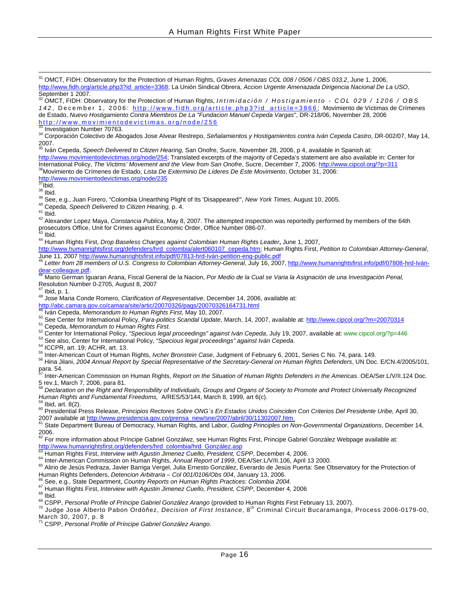31 OMCT, FIDH: Observatory for the Protection of Human Rights, *Graves Amenazas COL 008 / 0506 / OBS 033.2*, June 1, 2006, [http://www.fidh.org/article.php3?id\\_article=3368](http://www.fidh.org/article.php3?id_article=3368); La Unión Sindical Obrera, *Accion Urgente Amenazada Dirigencia Nacional De La USO*, September 1 2007.

32 OMCT, FIDH: Observatory for the Protection of Human Rights, *Intimidación / Hostigamiento - COL 029 / 1206 / OBS 142* , December 1, 2006: [http://www.fidh.org/article.php3?id\\_article=3866](http://www.fidh.org/article.php3?id_article=3866) ; Movimiento de Víctimas de Crímenes de Estado, *Nuevo Hostigamiento Contra Miembros De La "Fundacion Manuel Cepeda Vargas"*, DR-218/06, November 28, 2006<br>http://www.movimientodevictimas.org/node/256<br><sup>33</sup> Investigation Number 70763.

https://www.gater.com/2012.com/2012.com/256 34 Investigation Number 70763. 34 Corporación Colectivo de Abogados Jose Alvear Restrepo, *Señalamientos y Hostigamientos contra Iván Cepeda Castro*, DR-002/07, May 14, 2007. 35 Iván Cepeda, *Speech Delivered to Citizen Hearing*, San Onofre, Sucre, November 28, 2006, p 4, available in Spanish at:

[http://www.movimientodevictimas.org/node/254;](http://www.movimientodevictimas.org/node/254) Translated excerpts of the majority of Cepeda's statement are also available in: Center for International Policy, The Victims' Movement and the View from San Onofre, Sucre, December 7, 2006:<http://www.cipcol.org/?p=311><br><sup>36</sup>Movimiento de Crímenes de Estado, Lista De Exterminio De Líderes De Este Movimiento, Octob

<sup>37</sup> Ibid.<br><sup>38</sup> Ibid.<br><sup>39</sup> See, e.g., Juan Forero, "Colombia Unearthing Plight of Its 'Disappeared'", *New York Times*, August 10, 2005.<br><sup>40</sup> Cepeda, *Speech Delivered to Citizen Hearing,* p. 4.<br><sup>41</sup> Ibid.<br><sup>42</sup> Alexander L prosecutors Office, Unit for Crimes against Economic Order, Office Number 086-07. 43 Ibid. 44 Human Rights First, *Drop Baseless Charges against Colombian Human Rights Leader***,** June 1, 2007,

[http://www.humanrightsfirst.org/defenders/hrd\\_colombia/alert060107\\_cepeda.htm](http://www.humanrightsfirst.org/defenders/hrd_colombia/alert060107_cepeda.htm); Human Rights First, Petition to Colombian Attorney-General, June 11, 2007 http://www.humanrightsfirst.info/pdf/07813-hrd-Iván-petition-eng-publ

<sup>45</sup> Letter from 28 members of U.S. Congress to Colombian Attorney-General, July 16, 2007, <u>http://www.humanrightsfirst.info/pdf/07808-hrd-lván-</u><br>dear-colleague.pdf.

[dear-colleague.pdf.](http://www.humanrightsfirst.info/pdf/07808-hrd-ivan-dear-colleague.pdf)<br><sup>[46](http://www.humanrightsfirst.info/pdf/07808-hrd-ivan-dear-colleague.pdf)</sup> Mario German Iguaran Arana, Fiscal General de la Nacion, *Por Medio de la Cual se Varia la Asignación de una Investigación Penal,* Resolution Number 0-2705, August 8, 2007

<sup>47</sup> Ibid, p. 1.<br><sup>48</sup> Jose Maria Conde Romero, *Clarification of Representative*, December 14, 2006, available at:<br>http://abc.camara.gov.co/camara/site/artic/20070326/pags/20070326164731.html<br><sup>49</sup> Iván Cepeda, *Memorandum* 

<sup>50</sup> See Center for Internatio[nal Policy,](http://www.cipcol.org/?p=446) *Para-politics Scandal Update*, March, 14, 2007, available at: http://www.cipcol.org/?m=20070314<br>
<sup>51</sup> Cepeda, *Memorandum to Human Rights First.*<br>
<sup>52</sup> Center for International Po

para. 54.

57 Inter-American Commission on Human Rights, *Report on the Situation of Human Rights Defenders in the Americas*. OEA/Ser.L/V/II.124 Doc. 5 rev.1, March 7, 2006, para 81.

<sup>58</sup> Declaration on the Right and Responsibility of Individuals, Groups and Organs of Society to Promote and Protect Universally Recognized<br>Human Rights and Fundamental Freedoms, A/RES/53/144, March 8, 1999, art 6(c).

<sup>59</sup> Ibid, art. 8(2).<br><sup>60</sup> Presidential Press Release, *Principios Rectores Sobre ONG's En Estados Unidos Coinciden Con Criterios Del Presidente Uribe, April 30,* 2007 available at http://www.presidencia.gov.co/prensa\_new/sne/2007/abril/30/11302007.htm<br><sup>61</sup> State Department Bureau of Democracy, Human Rights, and Labor, Guiding Principles on Non-Governmental Organizations, December 1

2006.

62 For more information about Príncipe Gabriel Gonzálwz, see Human Rights First, Principe Gabriel González Webpage available at:

http://www.humanrightsfirst.org/defenders/hrd\_colombia/hrd\_González.asp<br>
<sup>63</sup> Human Rights First, *Interview with Agustin Jimenez Cuello, President, CSPP*, December 4, 2006.<br>
<sup>64</sup> Inter-American Commission on Human Rights,

<sup>66</sup> See, e.g., State Department, *Country Reports on Human Rights Practices: Colombia 2004.*<br><sup>67</sup> Human Rights First, *Interview with Agustin Jimenez Cuello, President, CSPP*, December 4, 2006<br><sup>68</sup> Ibid.<br><sup>69</sup> CSPP, *Perso* March 30, 2007, p. 8

71 CSPP, *Personal Profile of Príncipe Gabriel González Arango*.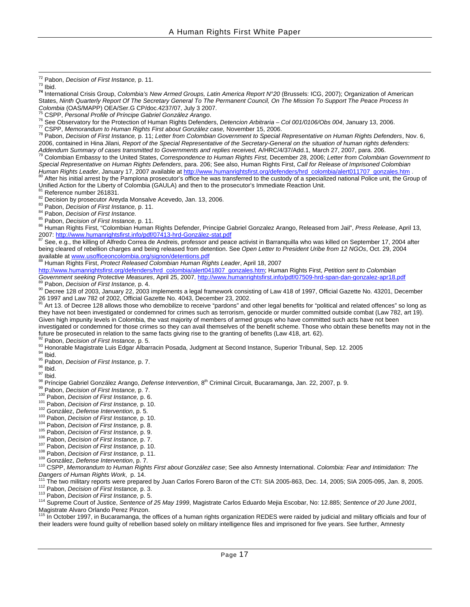<sup>72</sup> Pabon, *Decision of First Instance,* p. 11.<br><sup>73</sup> Ibid.<br><sup>74</sup> International Crisis Group, *Colombia's New Armed Groups, Latin America Report N°20* (Brussels: ICG, 2007); Organization of American States, *Ninth Quarterly Report Of The Secretary General To The Permanent Council, On The Mission To Support The Peace Process In* 

Addendum Summary of cases transmitted to Governments and replies received, A/HRC/4/37/Add.1, March 27, 2007, para. 206.<br><sup>79</sup> Colombian Embassy to the United States, Correspondence to Human Rights First, December 28, 2006; *Special Representative on Human Rights Defenders*, para. 206; See also, Human Rights First, *Call for Release of Imprisoned Colombian*  Human Rights Leader, January 17, 2007 available at [http://www.humanrightsfirst.org/defenders/hrd\\_colombia/alert011707\\_gonzales.htm](http://www.humanrightsfirst.org/defenders/hrd_colombia/alert011707_gonzales.htm) .<br><sup>80</sup> After his initial arrest by the Pamplona prosecutor's office he was transferred to t

Unified Action for the Liberty of Colombia (GAULA) and then to the prosecutor's Immediate Reaction Unit.<br><sup>81</sup> Reference number 261831.<br><sup>82</sup> Decision by prosecutor Areyda Monsalve Acevedo, Jan. 13, 2006.<br><sup>82</sup> Pabon, *Decisi* 

See, e.g., the killing of Alfredo Correa de Andreis, professor and peace activist in Barranquilla who was killed on September 17, 2004 after being cleared of rebellion charges and being released from detention. See *Open Letter to President Uribe from 12 NGOs*, Oct. 29, 2004 available at [www.usofficeoncolombia.org/signon/detentions.pdf](http://www.usofficeoncolombia.org/signon/detentions.pdf) 88 Human R[ights First,](http://www.usofficeoncolombia.org/signon/detentions.pdf) *Protect Released Colombian Human Rights Leader*, April 18, 2007

[http://www.humanrightsfirst.org/defenders/hrd\\_colombia/alert041807\\_gonzales.htm](http://www.humanrightsfirst.org/defenders/hrd_colombia/alert041807_gonzales.htm); Human Rights First, *[Petition sent to Colombian](http://www.humanrightsfirst.info/pdf/07509-hrd-span-dan-gonzalez-apr18.pdf)* 

<sup>[89](http://www.humanrightsfirst.info/pdf/07509-hrd-span-dan-gonzalez-apr18.pdf)</sup> Pabon, *Decision of First Instance,* p. 4.<br><sup>90</sup> Decree 128 of 2003, January 22, 2003 implements a legal framework consisting of Law 418 of 1997, Official Gazette No. 43201, December 26 1997 and Law 782 of 2002, Official Gazette No. 4043, December 23, 2002.

91 Art 13. of Decree 128 allows those who demobilize to receive "pardons" and other legal benefits for "political and related offences" so long as they have not been investigated or condemned for crimes such as terrorism, genocide or murder committed outside combat (Law 782, art 19). Given high impunity levels in Colombia, the vast majority of members of armed groups who have committed such acts have not been investigated or condemned for those crimes so they can avail themselves of the benefit scheme. Those who obtain these benefits may not in the future be prosecuted in relation to the same facts giving rise to the granting of benefits (Law 418, art. 62).<br><sup>92</sup> Pabon, *Decision of First Instance*, p. 5.

- 
- 
- 
- 
- 
- 

<sup>92</sup> Pabon, *Decision of First Instance*, p. 5.<br>
<sup>94</sup> Honorable Magistrate Luis Edgar Albarracin Posada, Judgment at Second Instance, Superior Tribunal, Sep. 12. 2005<br>
<sup>94</sup> Honorable Magistrate Luis Edgar Albarracin Posada <sup>110</sup> CSPP, Memorandum to Human Rights First about González case; See also Amnesty International. Colombia: Fear and Intimidation: The Dangers of Human Rights Work, p. 14.<br>
<sup>111</sup> The two military reports were prepared by J

Magistrate Alvaro Orlando Perez Pinzon.

In October 1997, in Bucaramanga, the offices of a human rights organization REDES were raided by judicial and military officials and four of their leaders were found guilty of rebellion based solely on military intelligence files and imprisoned for five years. See further, Amnesty

<sup>&</sup>lt;sup>75</sup> CSPP, *Personal Profile of Príncipe Gabriel González Arango.*<br><sup>76</sup> See Observatory for the Protection of Human Rights Defenders, *Detencion Arbitraria – Col 001/0106/Obs 004*, January 13, 2006.<br><sup>77</sup> CSPP, *Memorandum* 2006, contained in Hina Jilani, *Report of the Special Representative of the Secretary-General on the situation of human rights defenders:*